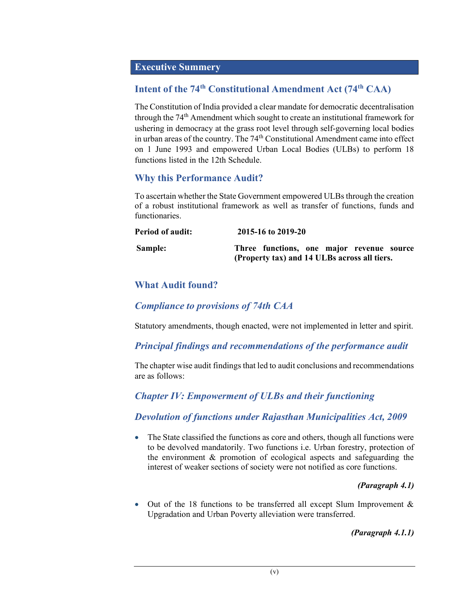### Executive Summery

# Intent of the 74<sup>th</sup> Constitutional Amendment Act (74<sup>th</sup> CAA)

The Constitution of India provided a clear mandate for democratic decentralisation through the 74<sup>th</sup> Amendment which sought to create an institutional framework for ushering in democracy at the grass root level through self-governing local bodies in urban areas of the country. The 74<sup>th</sup> Constitutional Amendment came into effect on 1 June 1993 and empowered Urban Local Bodies (ULBs) to perform 18 functions listed in the 12th Schedule.

# Why this Performance Audit?

To ascertain whether the State Government empowered ULBs through the creation of a robust institutional framework as well as transfer of functions, funds and functionaries.

| <b>Period of audit:</b> | 2015-16 to 2019-20                                                                        |
|-------------------------|-------------------------------------------------------------------------------------------|
| Sample:                 | Three functions, one major revenue source<br>(Property tax) and 14 ULBs across all tiers. |

# What Audit found?

# Compliance to provisions of 74th CAA

Statutory amendments, though enacted, were not implemented in letter and spirit.

# Principal findings and recommendations of the performance audit

The chapter wise audit findings that led to audit conclusions and recommendations are as follows:

# Chapter IV: Empowerment of ULBs and their functioning

# Devolution of functions under Rajasthan Municipalities Act, 2009

• The State classified the functions as core and others, though all functions were to be devolved mandatorily. Two functions i.e. Urban forestry, protection of the environment & promotion of ecological aspects and safeguarding the interest of weaker sections of society were not notified as core functions.

### (Paragraph 4.1)

 Out of the 18 functions to be transferred all except Slum Improvement & Upgradation and Urban Poverty alleviation were transferred.

(Paragraph 4.1.1)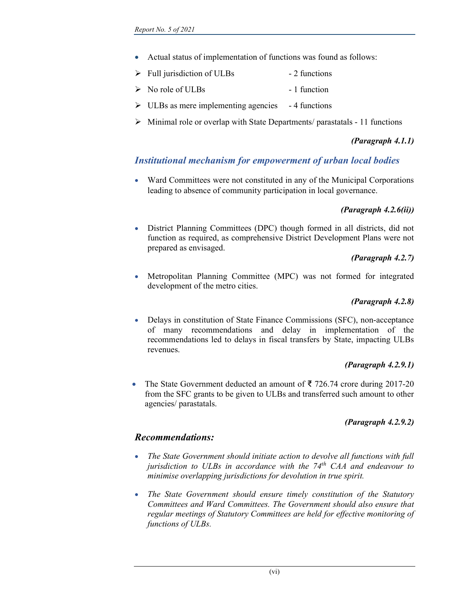- Actual status of implementation of functions was found as follows:
- $\triangleright$  Full jurisdiction of ULBs 2 functions
- $\triangleright$  No role of ULBs 1 function
- $\triangleright$  ULBs as mere implementing agencies 4 functions
- $\triangleright$  Minimal role or overlap with State Departments/ parastatals 11 functions

### (Paragraph 4.1.1)

# Institutional mechanism for empowerment of urban local bodies

 Ward Committees were not constituted in any of the Municipal Corporations leading to absence of community participation in local governance.

### (Paragraph 4.2.6(ii))

 District Planning Committees (DPC) though formed in all districts, did not function as required, as comprehensive District Development Plans were not prepared as envisaged.

#### (Paragraph 4.2.7)

 Metropolitan Planning Committee (MPC) was not formed for integrated development of the metro cities.

#### (Paragraph 4.2.8)

 Delays in constitution of State Finance Commissions (SFC), non-acceptance of many recommendations and delay in implementation of the recommendations led to delays in fiscal transfers by State, impacting ULBs revenues.

#### (Paragraph 4.2.9.1)

 The State Government deducted an amount of ₹ 726.74 crore during 2017-20 from the SFC grants to be given to ULBs and transferred such amount to other agencies/ parastatals.

#### (Paragraph 4.2.9.2)

### Recommendations:

- The State Government should initiate action to devolve all functions with full jurisdiction to ULBs in accordance with the  $74<sup>th</sup>$  CAA and endeavour to minimise overlapping jurisdictions for devolution in true spirit.
- The State Government should ensure timely constitution of the Statutory Committees and Ward Committees. The Government should also ensure that regular meetings of Statutory Committees are held for effective monitoring of functions of ULBs.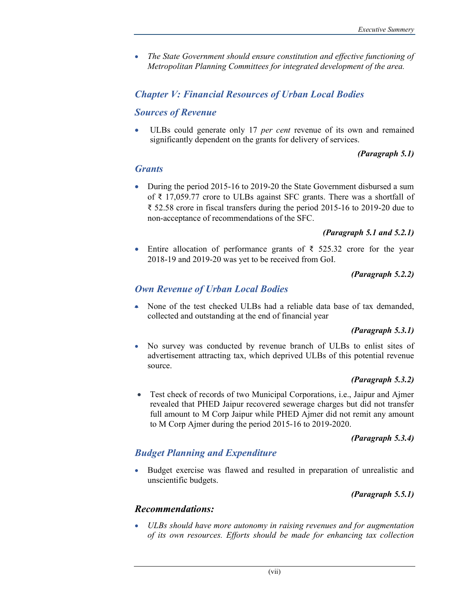• The State Government should ensure constitution and effective functioning of Metropolitan Planning Committees for integrated development of the area.

## Chapter V: Financial Resources of Urban Local Bodies

### Sources of Revenue

 ULBs could generate only 17 per cent revenue of its own and remained significantly dependent on the grants for delivery of services.

#### (Paragraph 5.1)

#### **Grants**

• During the period 2015-16 to 2019-20 the State Government disbursed a sum of ₹ 17,059.77 crore to ULBs against SFC grants. There was a shortfall of ₹ 52.58 crore in fiscal transfers during the period 2015-16 to 2019-20 due to non-acceptance of recommendations of the SFC.

#### (Paragraph 5.1 and 5.2.1)

Entire allocation of performance grants of  $\bar{\xi}$  525.32 crore for the year 2018-19 and 2019-20 was yet to be received from GoI.

#### (Paragraph 5.2.2)

### Own Revenue of Urban Local Bodies

 None of the test checked ULBs had a reliable data base of tax demanded, collected and outstanding at the end of financial year

#### (Paragraph 5.3.1)

 No survey was conducted by revenue branch of ULBs to enlist sites of advertisement attracting tax, which deprived ULBs of this potential revenue source.

#### (Paragraph 5.3.2)

 Test check of records of two Municipal Corporations, i.e., Jaipur and Ajmer revealed that PHED Jaipur recovered sewerage charges but did not transfer full amount to M Corp Jaipur while PHED Ajmer did not remit any amount to M Corp Ajmer during the period 2015-16 to 2019-2020.

(Paragraph 5.3.4)

# Budget Planning and Expenditure

 Budget exercise was flawed and resulted in preparation of unrealistic and unscientific budgets.

(Paragraph 5.5.1)

### Recommendations:

 ULBs should have more autonomy in raising revenues and for augmentation of its own resources. Efforts should be made for enhancing tax collection